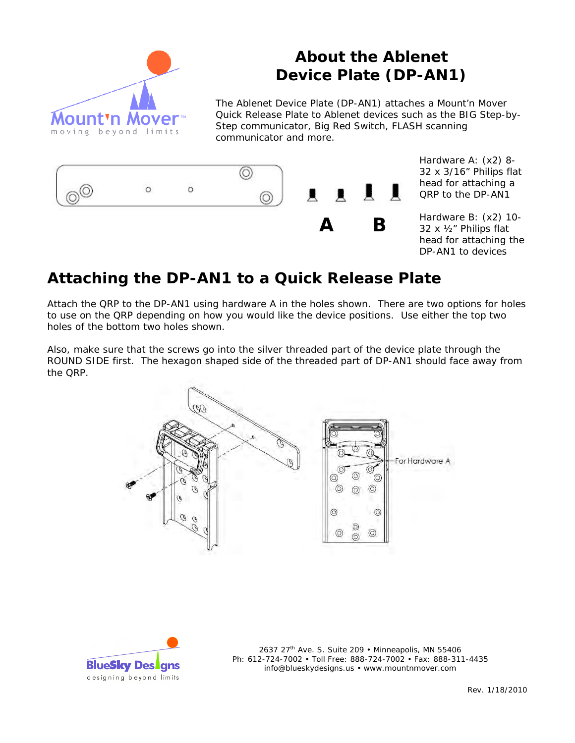

## **About the Ablenet Device Plate (DP-AN1)**

The Ablenet Device Plate (DP-AN1) attaches a Mount'n Mover Quick Release Plate to Ablenet devices such as the BIG Step-by-Step communicator, Big Red Switch, FLASH scanning communicator and more.



Hardware A: (x2) 8- 32 x 3/16" Philips flat head for attaching a QRP to the DP-AN1

Hardware B: (x2) 10- 32 x ½" Philips flat head for attaching the DP-AN1 to devices

## **Attaching the DP-AN1 to a Quick Release Plate**

Attach the QRP to the DP-AN1 using hardware A in the holes shown. There are two options for holes to use on the QRP depending on how you would like the device positions. Use either the top two holes of the bottom two holes shown.

Also, make sure that the screws go into the silver threaded part of the device plate through the ROUND SIDE first. The hexagon shaped side of the threaded part of DP-AN1 should face away from the QRP.





2637 27<sup>th</sup> Ave. S. Suite 209 • Minneapolis, MN 55406 Ph: 612-724-7002 • Toll Free: 888-724-7002 • Fax: 888-311-4435 info@blueskydesigns.us • www.mountnmover.com